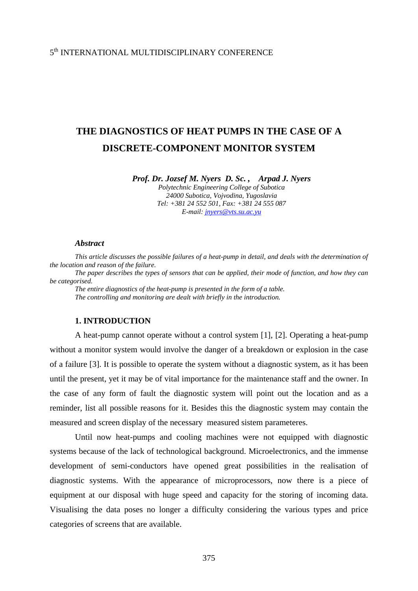# 5th INTERNATIONAL MULTIDISCIPLINARY CONFERENCE

# **THE DIAGNOSTICS OF HEAT PUMPS IN THE CASE OF A DISCRETE-COMPONENT MONITOR SYSTEM**

*Prof. Dr. Jozsef M. Nyers D. Sc. , Arpad J. Nyers* 

*Polytechnic Engineering College of Subotica 24000 Subotica, Vojvodina, Yugoslavia Tel: +381 24 552 501, Fax: +381 24 555 087 E-mail: [jnyers@vts.su.ac.yu](mailto:jnyers@vts.su.ac.yu)*

#### *Abstract*

*This article discusses the possible failures of a heat-pump in detail, and deals with the determination of the location and reason of the failure. The paper describes the types of sensors that can be applied, their mode of function, and how they can be categorised. The entire diagnostics of the heat-pump is presented in the form of a table. The controlling and monitoring are dealt with briefly in the introduction.* **1. INTRODUCTION** 

 A heat-pump cannot operate without a control system [1], [2]. Operating a heat-pump without a monitor system would involve the danger of a breakdown or explosion in the case of a failure [3]. It is possible to operate the system without a diagnostic system, as it has been until the present, yet it may be of vital importance for the maintenance staff and the owner. In the case of any form of fault the diagnostic system will point out the location and as a reminder, list all possible reasons for it. Besides this the diagnostic system may contain the measured and screen display of the necessary measured sistem parameteres.

 Until now heat-pumps and cooling machines were not equipped with diagnostic systems because of the lack of technological background. Microelectronics, and the immense development of semi-conductors have opened great possibilities in the realisation of diagnostic systems. With the appearance of microprocessors, now there is a piece of equipment at our disposal with huge speed and capacity for the storing of incoming data. Visualising the data poses no longer a difficulty considering the various types and price categories of screens that are available.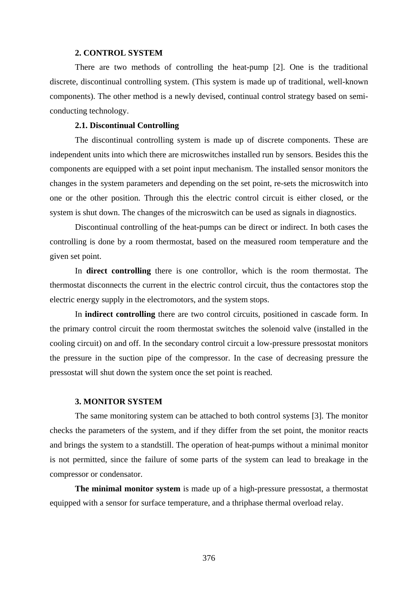## **2. CONTROL SYSTEM**

 There are two methods of controlling the heat-pump [2]. One is the traditional discrete, discontinual controlling system. (This system is made up of traditional, well-known components). The other method is a newly devised, continual control strategy based on semiconducting technology.

## **2.1. Discontinual Controlling**

 The discontinual controlling system is made up of discrete components. These are independent units into which there are microswitches installed run by sensors. Besides this the components are equipped with a set point input mechanism. The installed sensor monitors the changes in the system parameters and depending on the set point, re-sets the microswitch into one or the other position. Through this the electric control circuit is either closed, or the system is shut down. The changes of the microswitch can be used as signals in diagnostics.

 Discontinual controlling of the heat-pumps can be direct or indirect. In both cases the controlling is done by a room thermostat, based on the measured room temperature and the given set point.

In **direct controlling** there is one controllor, which is the room thermostat. The thermostat disconnects the current in the electric control circuit, thus the contactores stop the electric energy supply in the electromotors, and the system stops.

In **indirect controlling** there are two control circuits, positioned in cascade form. In the primary control circuit the room thermostat switches the solenoid valve (installed in the cooling circuit) on and off. In the secondary control circuit a low-pressure pressostat monitors the pressure in the suction pipe of the compressor. In the case of decreasing pressure the pressostat will shut down the system once the set point is reached.

## **3. MONITOR SYSTEM**

The same monitoring system can be attached to both control systems [3]. The monitor checks the parameters of the system, and if they differ from the set point, the monitor reacts and brings the system to a standstill. The operation of heat-pumps without a minimal monitor is not permitted, since the failure of some parts of the system can lead to breakage in the compressor or condensator.

**The minimal monitor system** is made up of a high-pressure pressostat, a thermostat equipped with a sensor for surface temperature, and a thriphase thermal overload relay.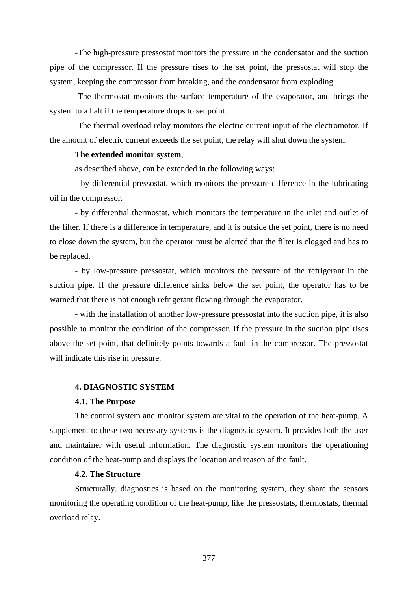-The high-pressure pressostat monitors the pressure in the condensator and the suction pipe of the compressor. If the pressure rises to the set point, the pressostat will stop the system, keeping the compressor from breaking, and the condensator from exploding.

-The thermostat monitors the surface temperature of the evaporator, and brings the system to a halt if the temperature drops to set point.

-The thermal overload relay monitors the electric current input of the electromotor. If the amount of electric current exceeds the set point, the relay will shut down the system.

## **The extended monitor system**,

as described above, can be extended in the following ways:

 - by differential pressostat, which monitors the pressure difference in the lubricating oil in the compressor.

 - by differential thermostat, which monitors the temperature in the inlet and outlet of the filter. If there is a difference in temperature, and it is outside the set point, there is no need to close down the system, but the operator must be alerted that the filter is clogged and has to be replaced.

 - by low-pressure pressostat, which monitors the pressure of the refrigerant in the suction pipe. If the pressure difference sinks below the set point, the operator has to be warned that there is not enough refrigerant flowing through the evaporator.

 - with the installation of another low-pressure pressostat into the suction pipe, it is also possible to monitor the condition of the compressor. If the pressure in the suction pipe rises above the set point, that definitely points towards a fault in the compressor. The pressostat will indicate this rise in pressure.

## **4. DIAGNOSTIC SYSTEM**

#### **4.1. The Purpose**

 The control system and monitor system are vital to the operation of the heat-pump. A supplement to these two necessary systems is the diagnostic system. It provides both the user and maintainer with useful information. The diagnostic system monitors the operationing condition of the heat-pump and displays the location and reason of the fault.

# **4.2. The Structure**

Structurally, diagnostics is based on the monitoring system, they share the sensors monitoring the operating condition of the heat-pump, like the pressostats, thermostats, thermal overload relay.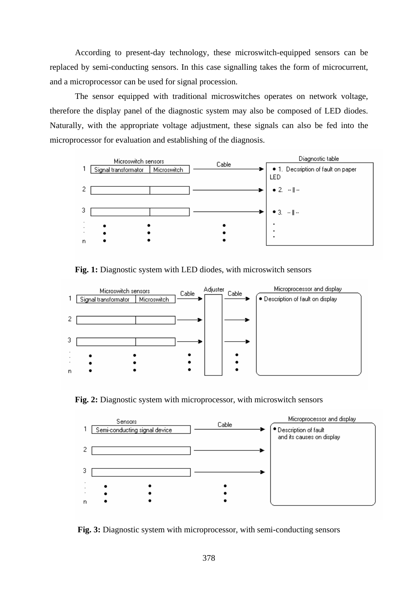According to present-day technology, these microswitch-equipped sensors can be replaced by semi-conducting sensors. In this case signalling takes the form of microcurrent, and a microprocessor can be used for signal procession.

 The sensor equipped with traditional microswitches operates on network voltage, therefore the display panel of the diagnostic system may also be composed of LED diodes. Naturally, with the appropriate voltage adjustment, these signals can also be fed into the microprocessor for evaluation and establishing of the diagnosis.



**Fig. 1:** Diagnostic system with LED diodes, with microswitch sensors



**Fig. 2:** Diagnostic system with microprocessor, with microswitch sensors



**Fig. 3:** Diagnostic system with microprocessor, with semi-conducting sensors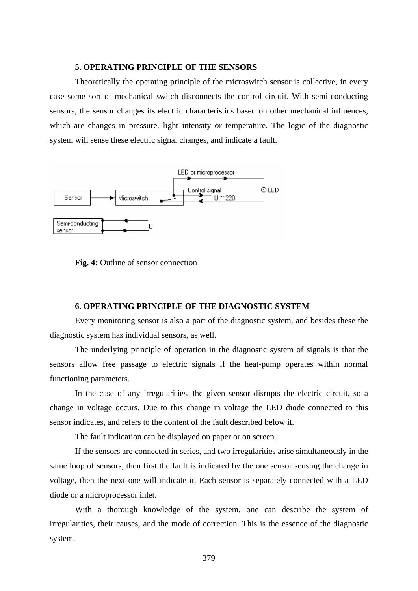## **5. OPERATING PRINCIPLE OF THE SENSORS**

 Theoretically the operating principle of the microswitch sensor is collective, in every case some sort of mechanical switch disconnects the control circuit. With semi-conducting sensors, the sensor changes its electric characteristics based on other mechanical influences, which are changes in pressure, light intensity or temperature. The logic of the diagnostic system will sense these electric signal changes, and indicate a fault.





## **6. OPERATING PRINCIPLE OF THE DIAGNOSTIC SYSTEM**

Every monitoring sensor is also a part of the diagnostic system, and besides these the diagnostic system has individual sensors, as well.

The underlying principle of operation in the diagnostic system of signals is that the sensors allow free passage to electric signals if the heat-pump operates within normal functioning parameters.

In the case of any irregularities, the given sensor disrupts the electric circuit, so a change in voltage occurs. Due to this change in voltage the LED diode connected to this sensor indicates, and refers to the content of the fault described below it.

The fault indication can be displayed on paper or on screen.

 If the sensors are connected in series, and two irregularities arise simultaneously in the same loop of sensors, then first the fault is indicated by the one sensor sensing the change in voltage, then the next one will indicate it. Each sensor is separately connected with a LED diode or a microprocessor inlet.

 With a thorough knowledge of the system, one can describe the system of irregularities, their causes, and the mode of correction. This is the essence of the diagnostic system.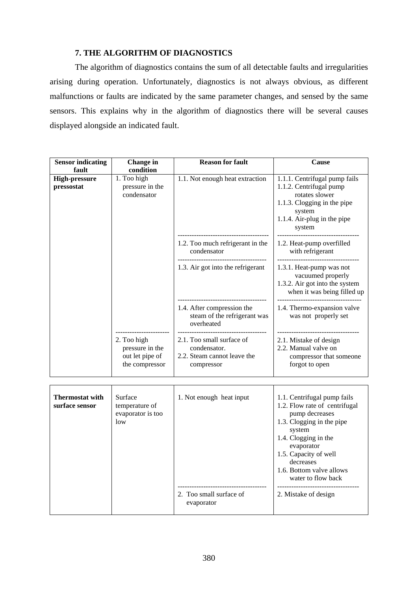# **7. THE ALGORITHM OF DIAGNOSTICS**

 The algorithm of diagnostics contains the sum of all detectable faults and irregularities arising during operation. Unfortunately, diagnostics is not always obvious, as different malfunctions or faults are indicated by the same parameter changes, and sensed by the same sensors. This explains why in the algorithm of diagnostics there will be several causes displayed alongside an indicated fault.

| <b>Sensor indicating</b><br>fault        | <b>Change</b> in<br>condition                                       | <b>Reason for fault</b>                                                                | Cause                                                                                                                                                                                                                                               |
|------------------------------------------|---------------------------------------------------------------------|----------------------------------------------------------------------------------------|-----------------------------------------------------------------------------------------------------------------------------------------------------------------------------------------------------------------------------------------------------|
| <b>High-pressure</b><br>pressostat       | 1. Too high<br>pressure in the<br>condensator                       | 1.1. Not enough heat extraction                                                        | 1.1.1. Centrifugal pump fails<br>1.1.2. Centrifugal pump<br>rotates slower<br>1.1.3. Clogging in the pipe<br>system<br>1.1.4. Air-plug in the pipe<br>system                                                                                        |
|                                          |                                                                     | 1.2. Too much refrigerant in the<br>condensator                                        | 1.2. Heat-pump overfilled<br>with refrigerant                                                                                                                                                                                                       |
|                                          |                                                                     | 1.3. Air got into the refrigerant                                                      | 1.3.1. Heat-pump was not<br>vacuumed properly<br>1.3.2. Air got into the system<br>when it was being filled up                                                                                                                                      |
|                                          |                                                                     | 1.4. After compression the<br>steam of the refrigerant was<br>overheated               | 1.4. Thermo-expansion valve<br>was not properly set                                                                                                                                                                                                 |
|                                          | 2. Too high<br>pressure in the<br>out let pipe of<br>the compressor | 2.1. Too small surface of<br>condensator.<br>2.2. Steam cannot leave the<br>compressor | 2.1. Mistake of design<br>2.2. Manual valve on<br>compressor that someone<br>forgot to open                                                                                                                                                         |
|                                          |                                                                     |                                                                                        |                                                                                                                                                                                                                                                     |
| <b>Thermostat with</b><br>surface sensor | Surface<br>temperature of<br>evaporator is too<br>low               | 1. Not enough heat input                                                               | 1.1. Centrifugal pump fails<br>1.2. Flow rate of centrifugal<br>pump decreases<br>1.3. Clogging in the pipe<br>system<br>1.4. Clogging in the<br>evaporator<br>1.5. Capacity of well<br>decreases<br>1.6. Bottom valve allows<br>water to flow back |
|                                          |                                                                     | 2. Too small surface of<br>evaporator                                                  | 2. Mistake of design                                                                                                                                                                                                                                |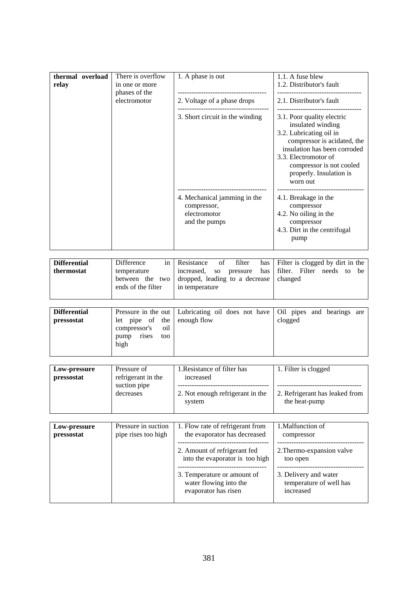| thermal overload<br>relay | There is overflow<br>in one or more<br>phases of the<br>electromotor | 1. A phase is out                                                            | 1.1. A fuse blew<br>1.2. Distributor's fault                                                                                                                                                                             |
|---------------------------|----------------------------------------------------------------------|------------------------------------------------------------------------------|--------------------------------------------------------------------------------------------------------------------------------------------------------------------------------------------------------------------------|
|                           |                                                                      | 2. Voltage of a phase drops                                                  | 2.1. Distributor's fault                                                                                                                                                                                                 |
|                           |                                                                      | 3. Short circuit in the winding<br>worn out                                  | 3.1. Poor quality electric<br>insulated winding<br>3.2. Lubricating oil in<br>compressor is acidated, the<br>insulation has been corroded<br>3.3. Electromotor of<br>compressor is not cooled<br>properly. Insulation is |
|                           |                                                                      | 4. Mechanical jamming in the<br>compressor,<br>electromotor<br>and the pumps | 4.1. Breakage in the<br>compressor<br>4.2. No oiling in the<br>compressor<br>4.3. Dirt in the centrifugal<br>pump                                                                                                        |

| <b>Differential</b> | Difference         | in Resistance<br>filter<br>of                          | has Filter is clogged by dirt in the |  |
|---------------------|--------------------|--------------------------------------------------------|--------------------------------------|--|
| thermostat          | temperature        | increased, so pressure                                 | has filter. Filter needs to be       |  |
|                     |                    | between the two dropped, leading to a decrease changed |                                      |  |
|                     | ends of the filter | in temperature                                         |                                      |  |
|                     |                    |                                                        |                                      |  |

| <b>Differential</b> |                             | Pressure in the out   Lubricating oil does not have   Oil pipes and bearings are |         |
|---------------------|-----------------------------|----------------------------------------------------------------------------------|---------|
| pressostat          | let pipe of the enough flow |                                                                                  | clogged |
|                     | compressor's oil            |                                                                                  |         |
|                     | rises<br>pump<br>too        |                                                                                  |         |
|                     | high                        |                                                                                  |         |
|                     |                             |                                                                                  |         |

| Pressure of<br>Low-pressure<br>refrigerant in the<br>pressostat<br>suction pipe<br>decreases | 1. Resistance of filter has<br>increased<br>2. Not enough refrigerant in the<br>system | 1. Filter is clogged<br>2. Refrigerant has leaked from<br>the heat-pump |
|----------------------------------------------------------------------------------------------|----------------------------------------------------------------------------------------|-------------------------------------------------------------------------|
|----------------------------------------------------------------------------------------------|----------------------------------------------------------------------------------------|-------------------------------------------------------------------------|

| Low-pressure | Pressure in suction | 1. Flow rate of refrigerant from                                                                                                                 | 1. Malfunction of                                                                                      |
|--------------|---------------------|--------------------------------------------------------------------------------------------------------------------------------------------------|--------------------------------------------------------------------------------------------------------|
| pressostat   | pipe rises too high | the evaporator has decreased                                                                                                                     | compressor                                                                                             |
|              |                     | 2. Amount of refrigerant fed<br>into the evaporator is too high<br>3. Temperature or amount of<br>water flowing into the<br>evaporator has risen | 2. Thermo-expansion valve<br>too open<br>3. Delivery and water<br>temperature of well has<br>increased |